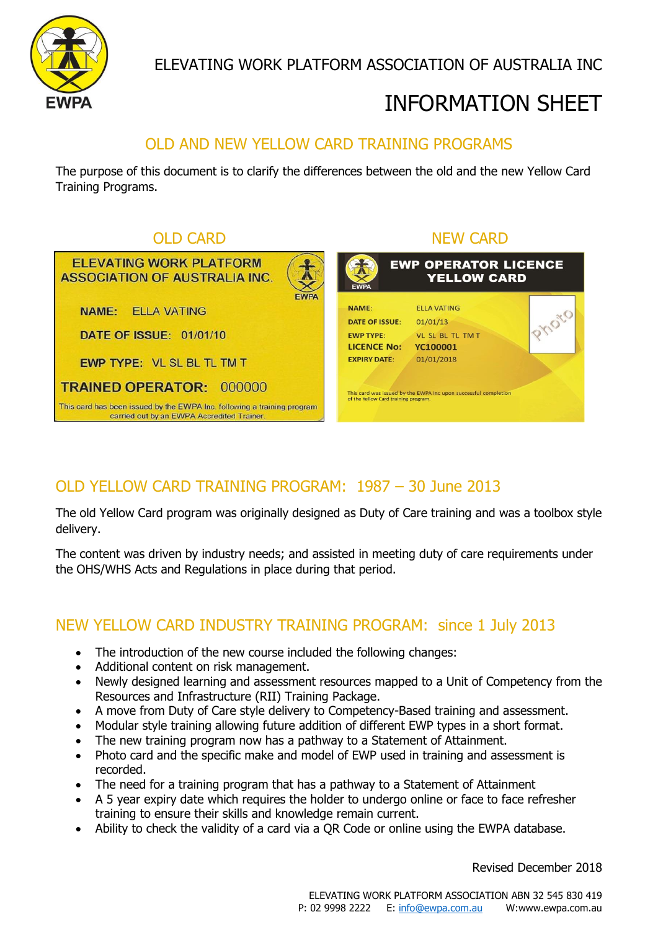

ELEVATING WORK PLATFORM ASSOCIATION OF AUSTRALIA INC

# INFORMATION SHEET

## OLD AND NEW YELLOW CARD TRAINING PROGRAMS

The purpose of this document is to clarify the differences between the old and the new Yellow Card Training Programs.



## OLD YELLOW CARD TRAINING PROGRAM: 1987 – 30 June 2013

The old Yellow Card program was originally designed as Duty of Care training and was a toolbox style delivery.

The content was driven by industry needs; and assisted in meeting duty of care requirements under the OHS/WHS Acts and Regulations in place during that period.

### NEW YELLOW CARD INDUSTRY TRAINING PROGRAM: since 1 July 2013

- The introduction of the new course included the following changes:
- Additional content on risk management.
- Newly designed learning and assessment resources mapped to a Unit of Competency from the Resources and Infrastructure (RII) Training Package.
- A move from Duty of Care style delivery to Competency-Based training and assessment.
- Modular style training allowing future addition of different EWP types in a short format.
- The new training program now has a pathway to a Statement of Attainment.
- Photo card and the specific make and model of EWP used in training and assessment is recorded.
- The need for a training program that has a pathway to a Statement of Attainment
- A 5 year expiry date which requires the holder to undergo online or face to face refresher training to ensure their skills and knowledge remain current.
- Ability to check the validity of a card via a QR Code or online using the EWPA database.

Revised December 2018